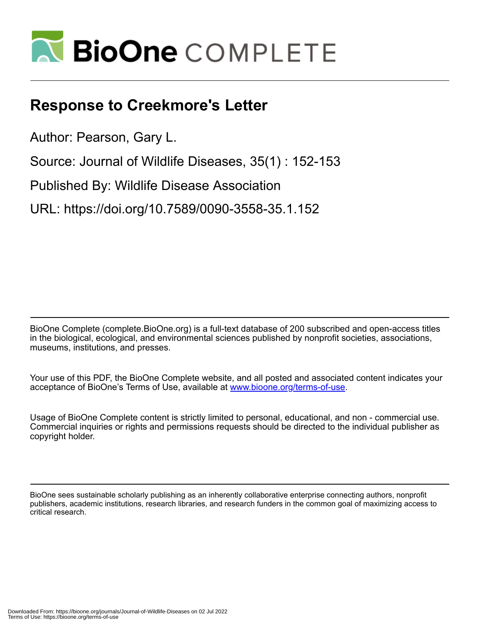

## **Response to Creekmore's Letter**

Author: Pearson, Gary L.

Source: Journal of Wildlife Diseases, 35(1) : 152-153

Published By: Wildlife Disease Association

URL: https://doi.org/10.7589/0090-3558-35.1.152

BioOne Complete (complete.BioOne.org) is a full-text database of 200 subscribed and open-access titles in the biological, ecological, and environmental sciences published by nonprofit societies, associations, museums, institutions, and presses.

Your use of this PDF, the BioOne Complete website, and all posted and associated content indicates your acceptance of BioOne's Terms of Use, available at www.bioone.org/terms-of-use.

Usage of BioOne Complete content is strictly limited to personal, educational, and non - commercial use. Commercial inquiries or rights and permissions requests should be directed to the individual publisher as copyright holder.

BioOne sees sustainable scholarly publishing as an inherently collaborative enterprise connecting authors, nonprofit publishers, academic institutions, research libraries, and research funders in the common goal of maximizing access to critical research.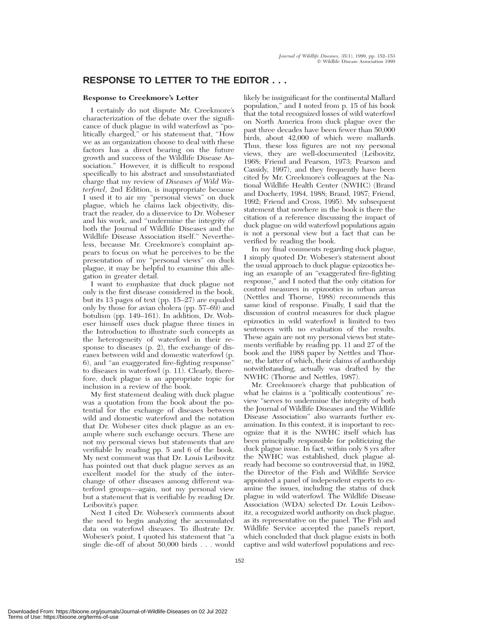## **RESPONSE TO LETTER TO THE EDITOR . . .**

## **Response to Creekmore's Letter**

I certainly do not dispute Mr. Creekmore's characterization of the debate over the significance of duck plague in wild waterfowl as ''politically charged,'' or his statement that, ''How we as an organization choose to deal with these factors has a direct bearing on the future growth and success of the Wildlife Disease Association.'' However, it is difficult to respond specifically to his abstract and unsubstantiated charge that my review of *Diseases of Wild Waterfowl*, 2nd Edition, is inappropriate because I used it to air my ''personal views'' on duck plague, which he claims lack objectivity, distract the reader, do a disservice to Dr. Wobeser and his work, and ''undermine the integrity of both the Journal of Wildlife Diseases and the Wildlife Disease Association itself.'' Nevertheless, because Mr. Creekmore's complaint appears to focus on what he perceives to be the presentation of my ''personal views'' on duck plague, it may be helpful to examine this allegation in greater detail.

I want to emphasize that duck plague not only is the first disease considered in the book, but its 13 pages of text (pp. 15–27) are equaled only by those for avian cholera (pp. 57–69) and botulism (pp. 149–161). In addition, Dr. Wobeser himself uses duck plague three times in the Introduction to illustrate such concepts as the heterogeneity of waterfowl in their response to diseases (p. 2), the exchange of diseases between wild and domestic waterfowl (p. 6), and ''an exaggerated fire-fighting response'' to diseases in waterfowl (p. 11). Clearly, therefore, duck plague is an appropriate topic for inclusion in a review of the book.

My first statement dealing with duck plague was a quotation from the book about the potential for the exchange of diseases between wild and domestic waterfowl and the notation that Dr. Wobeser cites duck plague as an example where such exchange occurs. These are not my personal views but statements that are verifiable by reading pp. 5 and 6 of the book. My next comment was that Dr. Louis Leibovitz has pointed out that duck plague serves as an excellent model for the study of the interchange of other diseases among different waterfowl groups—again, not my personal view but a statement that is verifiable by reading Dr. Leibovitz's paper.

Next I cited Dr. Wobeser's comments about the need to begin analyzing the accumulated data on waterfowl diseases. To illustrate Dr. Wobeser's point, I quoted his statement that ''a single die-off of about 50,000 birds . . . would

likely be insignificant for the continental Mallard population,'' and I noted from p. 15 of his book that the total recognized losses of wild waterfowl on North America from duck plague over the past three decades have been fewer than 50,000 birds, about 42,000 of which were mallards. Thus, these loss figures are not my personal views, they are well-documented (Leibovitz, 1968; Friend and Pearson, 1973; Pearson and Cassidy, 1997), and they frequently have been cited by Mr. Creekmore's colleagues at the National Wildlife Health Center (NWHC) (Brand and Docherty, 1984, 1988; Brand, 1987; Friend, 1992; Friend and Cross, 1995). My subsequent statement that nowhere in the book is there the citation of a reference discussing the impact of duck plague on wild waterfowl populations again is not a personal view but a fact that can be verified by reading the book.

In my final comments regarding duck plague, I simply quoted Dr. Wobeser's statement about the usual approach to duck plague epizootics being an example of an ''exaggerated fire-fighting response,'' and I noted that the only citation for control measures in epizootics in urban areas (Nettles and Thorne, 1988) recommends this same kind of response. Finally, I said that the discussion of control measures for duck plague epizootics in wild waterfowl is limited to two sentences with no evaluation of the results. These again are not my personal views but statements verifiable by reading pp. 11 and 27 of the book and the 1988 paper by Nettles and Thorne, the latter of which, their claims of authorship notwithstanding, actually was drafted by the NWHC (Thorne and Nettles, 1987).

Mr. Creekmore's charge that publication of what he claims is a "politically contentious" review ''serves to undermine the integrity of both the Journal of Wildlife Diseases and the Wildlife Disease Association'' also warrants further examination. In this context, it is important to recognize that it is the NWHC itself which has been principally responsible for politicizing the duck plague issue. In fact, within only 8 yrs after the NWHC was established, duck plague already had become so controversial that, in 1982, the Director of the Fish and Wildlife Service appointed a panel of independent experts to examine the issues, including the status of duck plague in wild waterfowl. The Wildlife Disease Association (WDA) selected Dr. Louis Leibovitz, a recognized world authority on duck plague, as its representative on the panel. The Fish and Wildlife Service accepted the panel's report, which concluded that duck plague exists in both captive and wild waterfowl populations and rec